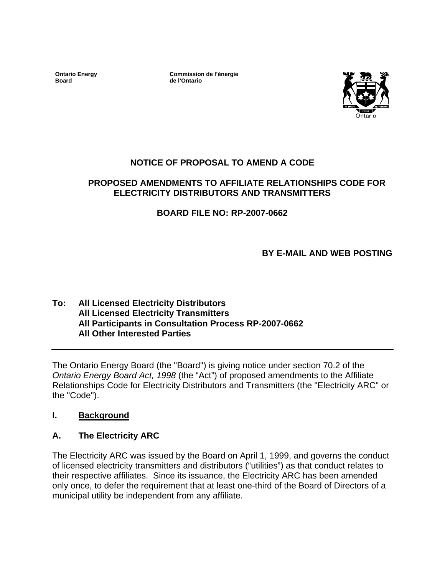**Ontario Energy Board** 

**Commission de l'énergie de l'Ontario**



# **NOTICE OF PROPOSAL TO AMEND A CODE**

### **PROPOSED AMENDMENTS TO AFFILIATE RELATIONSHIPS CODE FOR ELECTRICITY DISTRIBUTORS AND TRANSMITTERS**

# **BOARD FILE NO: RP-2007-0662**

**BY E-MAIL AND WEB POSTING** 

### **To: All Licensed Electricity Distributors All Licensed Electricity Transmitters All Participants in Consultation Process RP-2007-0662 All Other Interested Parties**

The Ontario Energy Board (the "Board") is giving notice under section 70.2 of the *Ontario Energy Board Act, 1998* (the "Act") of proposed amendments to the Affiliate Relationships Code for Electricity Distributors and Transmitters (the "Electricity ARC" or the "Code").

# **I. Background**

# **A. The Electricity ARC**

The Electricity ARC was issued by the Board on April 1, 1999, and governs the conduct of licensed electricity transmitters and distributors ("utilities") as that conduct relates to their respective affiliates. Since its issuance, the Electricity ARC has been amended only once, to defer the requirement that at least one-third of the Board of Directors of a municipal utility be independent from any affiliate.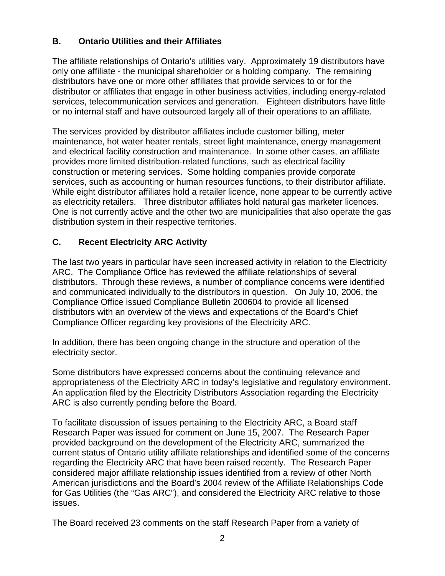# **B. Ontario Utilities and their Affiliates**

The affiliate relationships of Ontario's utilities vary. Approximately 19 distributors have only one affiliate - the municipal shareholder or a holding company. The remaining distributors have one or more other affiliates that provide services to or for the distributor or affiliates that engage in other business activities, including energy-related services, telecommunication services and generation. Eighteen distributors have little or no internal staff and have outsourced largely all of their operations to an affiliate.

The services provided by distributor affiliates include customer billing, meter maintenance, hot water heater rentals, street light maintenance, energy management and electrical facility construction and maintenance. In some other cases, an affiliate provides more limited distribution-related functions, such as electrical facility construction or metering services. Some holding companies provide corporate services, such as accounting or human resources functions, to their distributor affiliate. While eight distributor affiliates hold a retailer licence, none appear to be currently active as electricity retailers. Three distributor affiliates hold natural gas marketer licences. One is not currently active and the other two are municipalities that also operate the gas distribution system in their respective territories.

# **C. Recent Electricity ARC Activity**

The last two years in particular have seen increased activity in relation to the Electricity ARC. The Compliance Office has reviewed the affiliate relationships of several distributors. Through these reviews, a number of compliance concerns were identified and communicated individually to the distributors in question. On July 10, 2006, the Compliance Office issued Compliance Bulletin 200604 to provide all licensed distributors with an overview of the views and expectations of the Board's Chief Compliance Officer regarding key provisions of the Electricity ARC.

In addition, there has been ongoing change in the structure and operation of the electricity sector.

Some distributors have expressed concerns about the continuing relevance and appropriateness of the Electricity ARC in today's legislative and regulatory environment. An application filed by the Electricity Distributors Association regarding the Electricity ARC is also currently pending before the Board.

To facilitate discussion of issues pertaining to the Electricity ARC, a Board staff Research Paper was issued for comment on June 15, 2007. The Research Paper provided background on the development of the Electricity ARC, summarized the current status of Ontario utility affiliate relationships and identified some of the concerns regarding the Electricity ARC that have been raised recently. The Research Paper considered major affiliate relationship issues identified from a review of other North American jurisdictions and the Board's 2004 review of the Affiliate Relationships Code for Gas Utilities (the "Gas ARC"), and considered the Electricity ARC relative to those issues.

The Board received 23 comments on the staff Research Paper from a variety of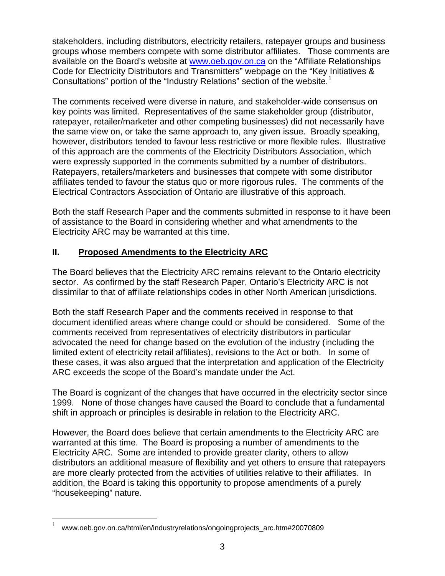stakeholders, including distributors, electricity retailers, ratepayer groups and business groups whose members compete with some distributor affiliates. Those comments are available on the Board's website at [www.oeb.gov.on.ca](http://www.oeb.gov.on.ca/) on the "Affiliate Relationships Code for Electricity Distributors and Transmitters" webpage on the "Key Initiatives & Consultations" portion of the "Industry Relations" section of the website. $1$ 

The comments received were diverse in nature, and stakeholder-wide consensus on key points was limited. Representatives of the same stakeholder group (distributor, ratepayer, retailer/marketer and other competing businesses) did not necessarily have the same view on, or take the same approach to, any given issue. Broadly speaking, however, distributors tended to favour less restrictive or more flexible rules. Illustrative of this approach are the comments of the Electricity Distributors Association, which were expressly supported in the comments submitted by a number of distributors. Ratepayers, retailers/marketers and businesses that compete with some distributor affiliates tended to favour the status quo or more rigorous rules. The comments of the Electrical Contractors Association of Ontario are illustrative of this approach.

Both the staff Research Paper and the comments submitted in response to it have been of assistance to the Board in considering whether and what amendments to the Electricity ARC may be warranted at this time.

# **II. Proposed Amendments to the Electricity ARC**

The Board believes that the Electricity ARC remains relevant to the Ontario electricity sector. As confirmed by the staff Research Paper, Ontario's Electricity ARC is not dissimilar to that of affiliate relationships codes in other North American jurisdictions.

Both the staff Research Paper and the comments received in response to that document identified areas where change could or should be considered. Some of the comments received from representatives of electricity distributors in particular advocated the need for change based on the evolution of the industry (including the limited extent of electricity retail affiliates), revisions to the Act or both. In some of these cases, it was also argued that the interpretation and application of the Electricity ARC exceeds the scope of the Board's mandate under the Act.

The Board is cognizant of the changes that have occurred in the electricity sector since 1999. None of those changes have caused the Board to conclude that a fundamental shift in approach or principles is desirable in relation to the Electricity ARC.

However, the Board does believe that certain amendments to the Electricity ARC are warranted at this time. The Board is proposing a number of amendments to the Electricity ARC. Some are intended to provide greater clarity, others to allow distributors an additional measure of flexibility and yet others to ensure that ratepayers are more clearly protected from the activities of utilities relative to their affiliates. In addition, the Board is taking this opportunity to propose amendments of a purely "housekeeping" nature.

 $\overline{a}$ 

<span id="page-2-0"></span><sup>1</sup> www.oeb.gov.on.ca/html/en/industryrelations/ongoingprojects\_arc.htm#20070809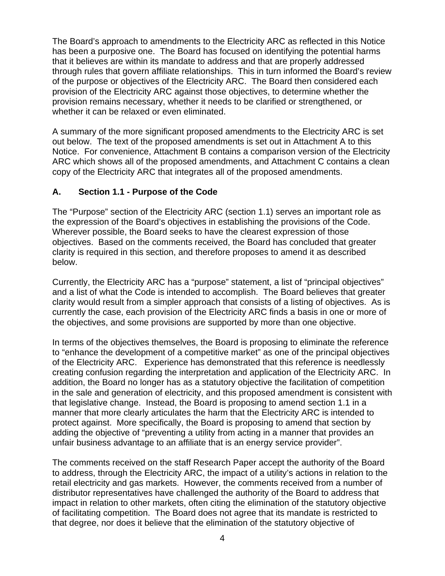The Board's approach to amendments to the Electricity ARC as reflected in this Notice has been a purposive one. The Board has focused on identifying the potential harms that it believes are within its mandate to address and that are properly addressed through rules that govern affiliate relationships. This in turn informed the Board's review of the purpose or objectives of the Electricity ARC. The Board then considered each provision of the Electricity ARC against those objectives, to determine whether the provision remains necessary, whether it needs to be clarified or strengthened, or whether it can be relaxed or even eliminated.

A summary of the more significant proposed amendments to the Electricity ARC is set out below. The text of the proposed amendments is set out in Attachment A to this Notice. For convenience, Attachment B contains a comparison version of the Electricity ARC which shows all of the proposed amendments, and Attachment C contains a clean copy of the Electricity ARC that integrates all of the proposed amendments.

# **A. Section 1.1 - Purpose of the Code**

The "Purpose" section of the Electricity ARC (section 1.1) serves an important role as the expression of the Board's objectives in establishing the provisions of the Code. Wherever possible, the Board seeks to have the clearest expression of those objectives. Based on the comments received, the Board has concluded that greater clarity is required in this section, and therefore proposes to amend it as described below.

Currently, the Electricity ARC has a "purpose" statement, a list of "principal objectives" and a list of what the Code is intended to accomplish. The Board believes that greater clarity would result from a simpler approach that consists of a listing of objectives. As is currently the case, each provision of the Electricity ARC finds a basis in one or more of the objectives, and some provisions are supported by more than one objective.

In terms of the objectives themselves, the Board is proposing to eliminate the reference to "enhance the development of a competitive market" as one of the principal objectives of the Electricity ARC. Experience has demonstrated that this reference is needlessly creating confusion regarding the interpretation and application of the Electricity ARC. In addition, the Board no longer has as a statutory objective the facilitation of competition in the sale and generation of electricity, and this proposed amendment is consistent with that legislative change. Instead, the Board is proposing to amend section 1.1 in a manner that more clearly articulates the harm that the Electricity ARC is intended to protect against. More specifically, the Board is proposing to amend that section by adding the objective of "preventing a utility from acting in a manner that provides an unfair business advantage to an affiliate that is an energy service provider".

The comments received on the staff Research Paper accept the authority of the Board to address, through the Electricity ARC, the impact of a utility's actions in relation to the retail electricity and gas markets. However, the comments received from a number of distributor representatives have challenged the authority of the Board to address that impact in relation to other markets, often citing the elimination of the statutory objective of facilitating competition. The Board does not agree that its mandate is restricted to that degree, nor does it believe that the elimination of the statutory objective of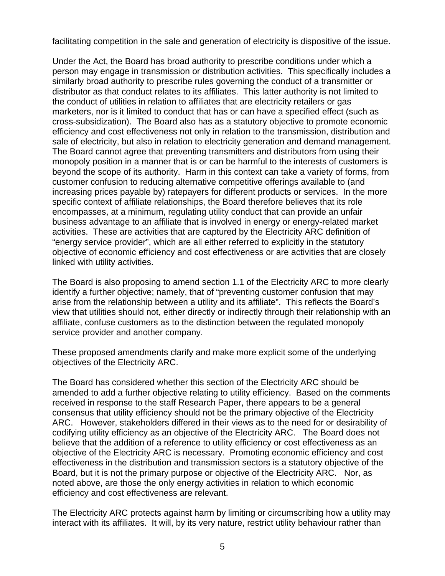facilitating competition in the sale and generation of electricity is dispositive of the issue.

Under the Act, the Board has broad authority to prescribe conditions under which a person may engage in transmission or distribution activities. This specifically includes a similarly broad authority to prescribe rules governing the conduct of a transmitter or distributor as that conduct relates to its affiliates. This latter authority is not limited to the conduct of utilities in relation to affiliates that are electricity retailers or gas marketers, nor is it limited to conduct that has or can have a specified effect (such as cross-subsidization). The Board also has as a statutory objective to promote economic efficiency and cost effectiveness not only in relation to the transmission, distribution and sale of electricity, but also in relation to electricity generation and demand management. The Board cannot agree that preventing transmitters and distributors from using their monopoly position in a manner that is or can be harmful to the interests of customers is beyond the scope of its authority. Harm in this context can take a variety of forms, from customer confusion to reducing alternative competitive offerings available to (and increasing prices payable by) ratepayers for different products or services. In the more specific context of affiliate relationships, the Board therefore believes that its role encompasses, at a minimum, regulating utility conduct that can provide an unfair business advantage to an affiliate that is involved in energy or energy-related market activities. These are activities that are captured by the Electricity ARC definition of "energy service provider", which are all either referred to explicitly in the statutory objective of economic efficiency and cost effectiveness or are activities that are closely linked with utility activities.

The Board is also proposing to amend section 1.1 of the Electricity ARC to more clearly identify a further objective; namely, that of "preventing customer confusion that may arise from the relationship between a utility and its affiliate". This reflects the Board's view that utilities should not, either directly or indirectly through their relationship with an affiliate, confuse customers as to the distinction between the regulated monopoly service provider and another company.

These proposed amendments clarify and make more explicit some of the underlying objectives of the Electricity ARC.

The Board has considered whether this section of the Electricity ARC should be amended to add a further objective relating to utility efficiency. Based on the comments received in response to the staff Research Paper, there appears to be a general consensus that utility efficiency should not be the primary objective of the Electricity ARC. However, stakeholders differed in their views as to the need for or desirability of codifying utility efficiency as an objective of the Electricity ARC. The Board does not believe that the addition of a reference to utility efficiency or cost effectiveness as an objective of the Electricity ARC is necessary. Promoting economic efficiency and cost effectiveness in the distribution and transmission sectors is a statutory objective of the Board, but it is not the primary purpose or objective of the Electricity ARC. Nor, as noted above, are those the only energy activities in relation to which economic efficiency and cost effectiveness are relevant.

The Electricity ARC protects against harm by limiting or circumscribing how a utility may interact with its affiliates. It will, by its very nature, restrict utility behaviour rather than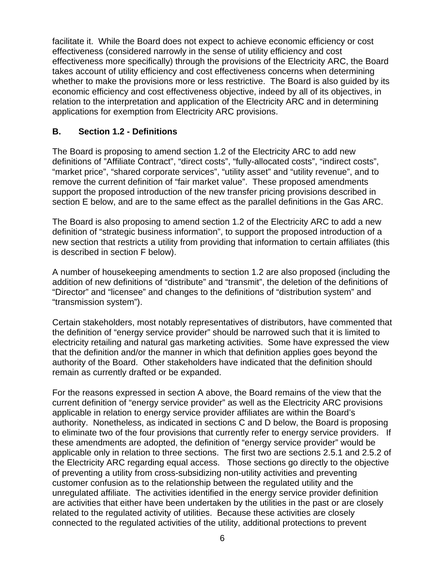facilitate it. While the Board does not expect to achieve economic efficiency or cost effectiveness (considered narrowly in the sense of utility efficiency and cost effectiveness more specifically) through the provisions of the Electricity ARC, the Board takes account of utility efficiency and cost effectiveness concerns when determining whether to make the provisions more or less restrictive. The Board is also guided by its economic efficiency and cost effectiveness objective, indeed by all of its objectives, in relation to the interpretation and application of the Electricity ARC and in determining applications for exemption from Electricity ARC provisions.

### **B. Section 1.2 - Definitions**

The Board is proposing to amend section 1.2 of the Electricity ARC to add new definitions of "Affiliate Contract", "direct costs", "fully-allocated costs", "indirect costs", "market price", "shared corporate services", "utility asset" and "utility revenue", and to remove the current definition of "fair market value". These proposed amendments support the proposed introduction of the new transfer pricing provisions described in section E below, and are to the same effect as the parallel definitions in the Gas ARC.

The Board is also proposing to amend section 1.2 of the Electricity ARC to add a new definition of "strategic business information", to support the proposed introduction of a new section that restricts a utility from providing that information to certain affiliates (this is described in section F below).

A number of housekeeping amendments to section 1.2 are also proposed (including the addition of new definitions of "distribute" and "transmit", the deletion of the definitions of "Director" and "licensee" and changes to the definitions of "distribution system" and "transmission system").

Certain stakeholders, most notably representatives of distributors, have commented that the definition of "energy service provider" should be narrowed such that it is limited to electricity retailing and natural gas marketing activities. Some have expressed the view that the definition and/or the manner in which that definition applies goes beyond the authority of the Board. Other stakeholders have indicated that the definition should remain as currently drafted or be expanded.

For the reasons expressed in section A above, the Board remains of the view that the current definition of "energy service provider" as well as the Electricity ARC provisions applicable in relation to energy service provider affiliates are within the Board's authority. Nonetheless, as indicated in sections C and D below, the Board is proposing to eliminate two of the four provisions that currently refer to energy service providers. If these amendments are adopted, the definition of "energy service provider" would be applicable only in relation to three sections. The first two are sections 2.5.1 and 2.5.2 of the Electricity ARC regarding equal access. Those sections go directly to the objective of preventing a utility from cross-subsidizing non-utility activities and preventing customer confusion as to the relationship between the regulated utility and the unregulated affiliate. The activities identified in the energy service provider definition are activities that either have been undertaken by the utilities in the past or are closely related to the regulated activity of utilities. Because these activities are closely connected to the regulated activities of the utility, additional protections to prevent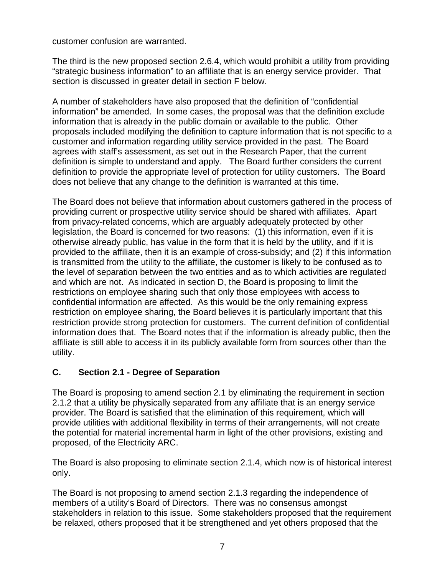customer confusion are warranted.

The third is the new proposed section 2.6.4, which would prohibit a utility from providing "strategic business information" to an affiliate that is an energy service provider. That section is discussed in greater detail in section F below.

A number of stakeholders have also proposed that the definition of "confidential information" be amended. In some cases, the proposal was that the definition exclude information that is already in the public domain or available to the public. Other proposals included modifying the definition to capture information that is not specific to a customer and information regarding utility service provided in the past. The Board agrees with staff's assessment, as set out in the Research Paper, that the current definition is simple to understand and apply. The Board further considers the current definition to provide the appropriate level of protection for utility customers. The Board does not believe that any change to the definition is warranted at this time.

The Board does not believe that information about customers gathered in the process of providing current or prospective utility service should be shared with affiliates. Apart from privacy-related concerns, which are arguably adequately protected by other legislation, the Board is concerned for two reasons: (1) this information, even if it is otherwise already public, has value in the form that it is held by the utility, and if it is provided to the affiliate, then it is an example of cross-subsidy; and (2) if this information is transmitted from the utility to the affiliate, the customer is likely to be confused as to the level of separation between the two entities and as to which activities are regulated and which are not. As indicated in section D, the Board is proposing to limit the restrictions on employee sharing such that only those employees with access to confidential information are affected. As this would be the only remaining express restriction on employee sharing, the Board believes it is particularly important that this restriction provide strong protection for customers. The current definition of confidential information does that. The Board notes that if the information is already public, then the affiliate is still able to access it in its publicly available form from sources other than the utility.

# **C. Section 2.1 - Degree of Separation**

The Board is proposing to amend section 2.1 by eliminating the requirement in section 2.1.2 that a utility be physically separated from any affiliate that is an energy service provider. The Board is satisfied that the elimination of this requirement, which will provide utilities with additional flexibility in terms of their arrangements, will not create the potential for material incremental harm in light of the other provisions, existing and proposed, of the Electricity ARC.

The Board is also proposing to eliminate section 2.1.4, which now is of historical interest only.

The Board is not proposing to amend section 2.1.3 regarding the independence of members of a utility's Board of Directors. There was no consensus amongst stakeholders in relation to this issue. Some stakeholders proposed that the requirement be relaxed, others proposed that it be strengthened and yet others proposed that the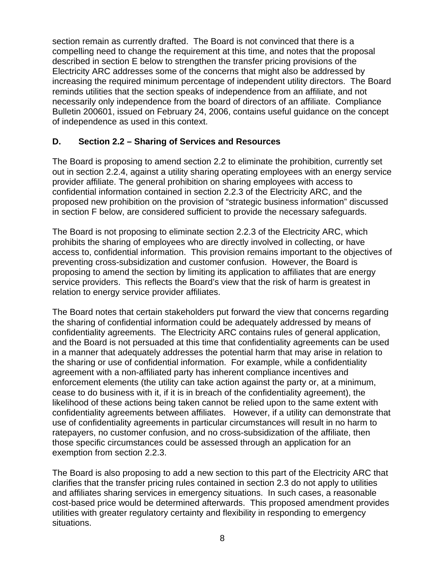section remain as currently drafted. The Board is not convinced that there is a compelling need to change the requirement at this time, and notes that the proposal described in section E below to strengthen the transfer pricing provisions of the Electricity ARC addresses some of the concerns that might also be addressed by increasing the required minimum percentage of independent utility directors. The Board reminds utilities that the section speaks of independence from an affiliate, and not necessarily only independence from the board of directors of an affiliate. Compliance Bulletin 200601, issued on February 24, 2006, contains useful guidance on the concept of independence as used in this context.

### **D. Section 2.2 – Sharing of Services and Resources**

The Board is proposing to amend section 2.2 to eliminate the prohibition, currently set out in section 2.2.4, against a utility sharing operating employees with an energy service provider affiliate. The general prohibition on sharing employees with access to confidential information contained in section 2.2.3 of the Electricity ARC, and the proposed new prohibition on the provision of "strategic business information" discussed in section F below, are considered sufficient to provide the necessary safeguards.

The Board is not proposing to eliminate section 2.2.3 of the Electricity ARC, which prohibits the sharing of employees who are directly involved in collecting, or have access to, confidential information. This provision remains important to the objectives of preventing cross-subsidization and customer confusion. However, the Board is proposing to amend the section by limiting its application to affiliates that are energy service providers. This reflects the Board's view that the risk of harm is greatest in relation to energy service provider affiliates.

The Board notes that certain stakeholders put forward the view that concerns regarding the sharing of confidential information could be adequately addressed by means of confidentiality agreements. The Electricity ARC contains rules of general application, and the Board is not persuaded at this time that confidentiality agreements can be used in a manner that adequately addresses the potential harm that may arise in relation to the sharing or use of confidential information. For example, while a confidentiality agreement with a non-affiliated party has inherent compliance incentives and enforcement elements (the utility can take action against the party or, at a minimum, cease to do business with it, if it is in breach of the confidentiality agreement), the likelihood of these actions being taken cannot be relied upon to the same extent with confidentiality agreements between affiliates. However, if a utility can demonstrate that use of confidentiality agreements in particular circumstances will result in no harm to ratepayers, no customer confusion, and no cross-subsidization of the affiliate, then those specific circumstances could be assessed through an application for an exemption from section 2.2.3.

The Board is also proposing to add a new section to this part of the Electricity ARC that clarifies that the transfer pricing rules contained in section 2.3 do not apply to utilities and affiliates sharing services in emergency situations. In such cases, a reasonable cost-based price would be determined afterwards. This proposed amendment provides utilities with greater regulatory certainty and flexibility in responding to emergency situations.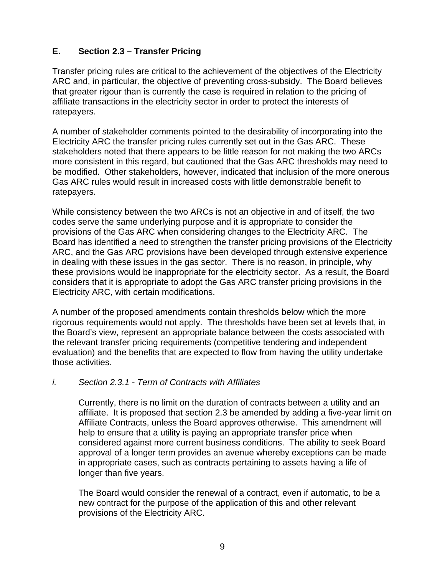# **E. Section 2.3 – Transfer Pricing**

Transfer pricing rules are critical to the achievement of the objectives of the Electricity ARC and, in particular, the objective of preventing cross-subsidy. The Board believes that greater rigour than is currently the case is required in relation to the pricing of affiliate transactions in the electricity sector in order to protect the interests of ratepayers.

A number of stakeholder comments pointed to the desirability of incorporating into the Electricity ARC the transfer pricing rules currently set out in the Gas ARC. These stakeholders noted that there appears to be little reason for not making the two ARCs more consistent in this regard, but cautioned that the Gas ARC thresholds may need to be modified. Other stakeholders, however, indicated that inclusion of the more onerous Gas ARC rules would result in increased costs with little demonstrable benefit to ratepayers.

While consistency between the two ARCs is not an objective in and of itself, the two codes serve the same underlying purpose and it is appropriate to consider the provisions of the Gas ARC when considering changes to the Electricity ARC. The Board has identified a need to strengthen the transfer pricing provisions of the Electricity ARC, and the Gas ARC provisions have been developed through extensive experience in dealing with these issues in the gas sector. There is no reason, in principle, why these provisions would be inappropriate for the electricity sector. As a result, the Board considers that it is appropriate to adopt the Gas ARC transfer pricing provisions in the Electricity ARC, with certain modifications.

A number of the proposed amendments contain thresholds below which the more rigorous requirements would not apply. The thresholds have been set at levels that, in the Board's view, represent an appropriate balance between the costs associated with the relevant transfer pricing requirements (competitive tendering and independent evaluation) and the benefits that are expected to flow from having the utility undertake those activities.

### *i. Section 2.3.1 - Term of Contracts with Affiliates*

Currently, there is no limit on the duration of contracts between a utility and an affiliate. It is proposed that section 2.3 be amended by adding a five-year limit on Affiliate Contracts, unless the Board approves otherwise. This amendment will help to ensure that a utility is paying an appropriate transfer price when considered against more current business conditions. The ability to seek Board approval of a longer term provides an avenue whereby exceptions can be made in appropriate cases, such as contracts pertaining to assets having a life of longer than five years.

The Board would consider the renewal of a contract, even if automatic, to be a new contract for the purpose of the application of this and other relevant provisions of the Electricity ARC.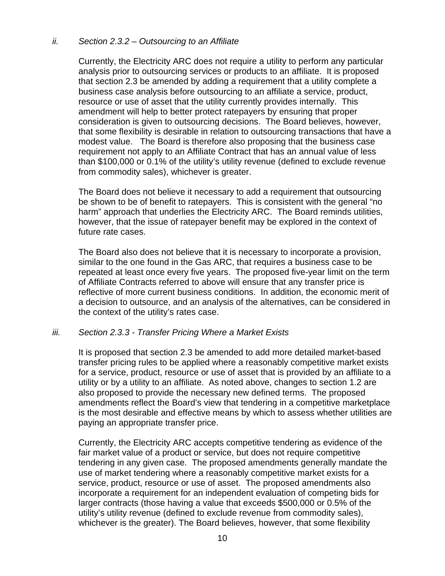#### *ii. Section 2.3.2 – Outsourcing to an Affiliate*

Currently, the Electricity ARC does not require a utility to perform any particular analysis prior to outsourcing services or products to an affiliate. It is proposed that section 2.3 be amended by adding a requirement that a utility complete a business case analysis before outsourcing to an affiliate a service, product, resource or use of asset that the utility currently provides internally. This amendment will help to better protect ratepayers by ensuring that proper consideration is given to outsourcing decisions. The Board believes, however, that some flexibility is desirable in relation to outsourcing transactions that have a modest value. The Board is therefore also proposing that the business case requirement not apply to an Affiliate Contract that has an annual value of less than \$100,000 or 0.1% of the utility's utility revenue (defined to exclude revenue from commodity sales), whichever is greater.

The Board does not believe it necessary to add a requirement that outsourcing be shown to be of benefit to ratepayers. This is consistent with the general "no harm" approach that underlies the Electricity ARC. The Board reminds utilities, however, that the issue of ratepayer benefit may be explored in the context of future rate cases.

 The Board also does not believe that it is necessary to incorporate a provision, similar to the one found in the Gas ARC, that requires a business case to be repeated at least once every five years. The proposed five-year limit on the term of Affiliate Contracts referred to above will ensure that any transfer price is reflective of more current business conditions. In addition, the economic merit of a decision to outsource, and an analysis of the alternatives, can be considered in the context of the utility's rates case.

#### *iii. Section 2.3.3 - Transfer Pricing Where a Market Exists*

It is proposed that section 2.3 be amended to add more detailed market-based transfer pricing rules to be applied where a reasonably competitive market exists for a service, product, resource or use of asset that is provided by an affiliate to a utility or by a utility to an affiliate. As noted above, changes to section 1.2 are also proposed to provide the necessary new defined terms. The proposed amendments reflect the Board's view that tendering in a competitive marketplace is the most desirable and effective means by which to assess whether utilities are paying an appropriate transfer price.

Currently, the Electricity ARC accepts competitive tendering as evidence of the fair market value of a product or service, but does not require competitive tendering in any given case. The proposed amendments generally mandate the use of market tendering where a reasonably competitive market exists for a service, product, resource or use of asset. The proposed amendments also incorporate a requirement for an independent evaluation of competing bids for larger contracts (those having a value that exceeds \$500,000 or 0.5% of the utility's utility revenue (defined to exclude revenue from commodity sales), whichever is the greater). The Board believes, however, that some flexibility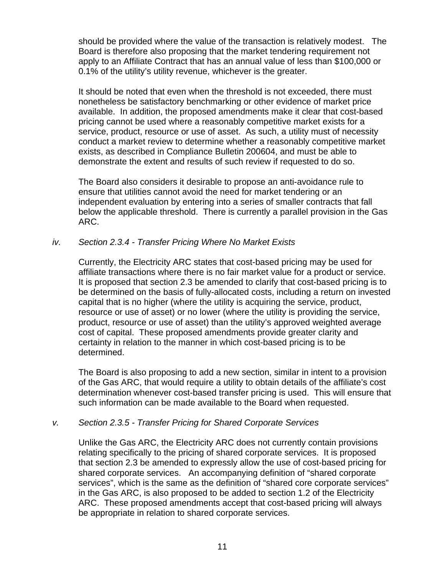should be provided where the value of the transaction is relatively modest. The Board is therefore also proposing that the market tendering requirement not apply to an Affiliate Contract that has an annual value of less than \$100,000 or 0.1% of the utility's utility revenue, whichever is the greater.

It should be noted that even when the threshold is not exceeded, there must nonetheless be satisfactory benchmarking or other evidence of market price available. In addition, the proposed amendments make it clear that cost-based pricing cannot be used where a reasonably competitive market exists for a service, product, resource or use of asset. As such, a utility must of necessity conduct a market review to determine whether a reasonably competitive market exists, as described in Compliance Bulletin 200604, and must be able to demonstrate the extent and results of such review if requested to do so.

 The Board also considers it desirable to propose an anti-avoidance rule to ensure that utilities cannot avoid the need for market tendering or an independent evaluation by entering into a series of smaller contracts that fall below the applicable threshold. There is currently a parallel provision in the Gas ARC.

### *iv. Section 2.3.4 - Transfer Pricing Where No Market Exists*

Currently, the Electricity ARC states that cost-based pricing may be used for affiliate transactions where there is no fair market value for a product or service. It is proposed that section 2.3 be amended to clarify that cost-based pricing is to be determined on the basis of fully-allocated costs, including a return on invested capital that is no higher (where the utility is acquiring the service, product, resource or use of asset) or no lower (where the utility is providing the service, product, resource or use of asset) than the utility's approved weighted average cost of capital. These proposed amendments provide greater clarity and certainty in relation to the manner in which cost-based pricing is to be determined.

The Board is also proposing to add a new section, similar in intent to a provision of the Gas ARC, that would require a utility to obtain details of the affiliate's cost determination whenever cost-based transfer pricing is used. This will ensure that such information can be made available to the Board when requested.

### *v. Section 2.3.5 - Transfer Pricing for Shared Corporate Services*

Unlike the Gas ARC, the Electricity ARC does not currently contain provisions relating specifically to the pricing of shared corporate services. It is proposed that section 2.3 be amended to expressly allow the use of cost-based pricing for shared corporate services. An accompanying definition of "shared corporate services", which is the same as the definition of "shared core corporate services" in the Gas ARC, is also proposed to be added to section 1.2 of the Electricity ARC. These proposed amendments accept that cost-based pricing will always be appropriate in relation to shared corporate services.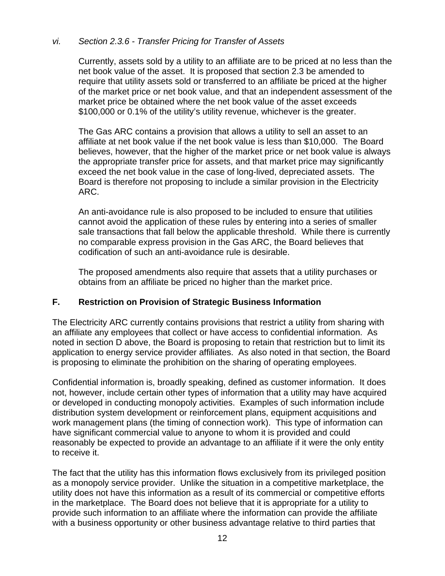### *vi. Section 2.3.6 - Transfer Pricing for Transfer of Assets*

Currently, assets sold by a utility to an affiliate are to be priced at no less than the net book value of the asset. It is proposed that section 2.3 be amended to require that utility assets sold or transferred to an affiliate be priced at the higher of the market price or net book value, and that an independent assessment of the market price be obtained where the net book value of the asset exceeds \$100,000 or 0.1% of the utility's utility revenue, whichever is the greater.

The Gas ARC contains a provision that allows a utility to sell an asset to an affiliate at net book value if the net book value is less than \$10,000. The Board believes, however, that the higher of the market price or net book value is always the appropriate transfer price for assets, and that market price may significantly exceed the net book value in the case of long-lived, depreciated assets. The Board is therefore not proposing to include a similar provision in the Electricity ARC.

An anti-avoidance rule is also proposed to be included to ensure that utilities cannot avoid the application of these rules by entering into a series of smaller sale transactions that fall below the applicable threshold. While there is currently no comparable express provision in the Gas ARC, the Board believes that codification of such an anti-avoidance rule is desirable.

The proposed amendments also require that assets that a utility purchases or obtains from an affiliate be priced no higher than the market price.

# **F. Restriction on Provision of Strategic Business Information**

The Electricity ARC currently contains provisions that restrict a utility from sharing with an affiliate any employees that collect or have access to confidential information. As noted in section D above, the Board is proposing to retain that restriction but to limit its application to energy service provider affiliates. As also noted in that section, the Board is proposing to eliminate the prohibition on the sharing of operating employees.

Confidential information is, broadly speaking, defined as customer information. It does not, however, include certain other types of information that a utility may have acquired or developed in conducting monopoly activities. Examples of such information include distribution system development or reinforcement plans, equipment acquisitions and work management plans (the timing of connection work). This type of information can have significant commercial value to anyone to whom it is provided and could reasonably be expected to provide an advantage to an affiliate if it were the only entity to receive it.

The fact that the utility has this information flows exclusively from its privileged position as a monopoly service provider. Unlike the situation in a competitive marketplace, the utility does not have this information as a result of its commercial or competitive efforts in the marketplace. The Board does not believe that it is appropriate for a utility to provide such information to an affiliate where the information can provide the affiliate with a business opportunity or other business advantage relative to third parties that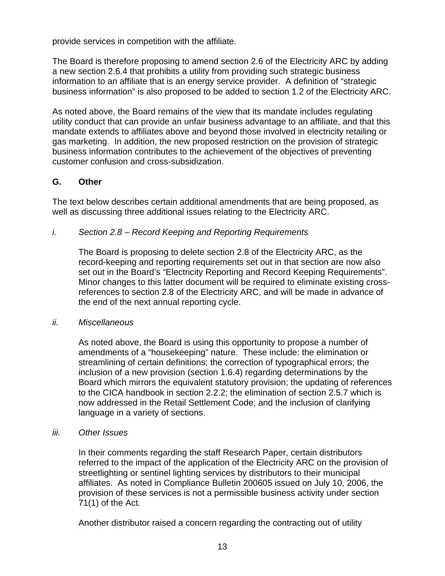provide services in competition with the affiliate.

The Board is therefore proposing to amend section 2.6 of the Electricity ARC by adding a new section 2.6.4 that prohibits a utility from providing such strategic business information to an affiliate that is an energy service provider. A definition of "strategic business information" is also proposed to be added to section 1.2 of the Electricity ARC.

As noted above, the Board remains of the view that its mandate includes regulating utility conduct that can provide an unfair business advantage to an affiliate, and that this mandate extends to affiliates above and beyond those involved in electricity retailing or gas marketing. In addition, the new proposed restriction on the provision of strategic business information contributes to the achievement of the objectives of preventing customer confusion and cross-subsidization.

### **G. Other**

The text below describes certain additional amendments that are being proposed, as well as discussing three additional issues relating to the Electricity ARC.

### *i. Section 2.8 – Record Keeping and Reporting Requirements*

The Board is proposing to delete section 2.8 of the Electricity ARC, as the record-keeping and reporting requirements set out in that section are now also set out in the Board's "Electricity Reporting and Record Keeping Requirements". Minor changes to this latter document will be required to eliminate existing crossreferences to section 2.8 of the Electricity ARC, and will be made in advance of the end of the next annual reporting cycle.

### *ii. Miscellaneous*

As noted above, the Board is using this opportunity to propose a number of amendments of a "housekeeping" nature. These include: the elimination or streamlining of certain definitions; the correction of typographical errors; the inclusion of a new provision (section 1.6.4) regarding determinations by the Board which mirrors the equivalent statutory provision; the updating of references to the CICA handbook in section 2.2.2; the elimination of section 2.5.7 which is now addressed in the Retail Settlement Code; and the inclusion of clarifying language in a variety of sections.

#### *iii. Other Issues*

In their comments regarding the staff Research Paper, certain distributors referred to the impact of the application of the Electricity ARC on the provision of streetlighting or sentinel lighting services by distributors to their municipal affiliates. As noted in Compliance Bulletin 200605 issued on July 10, 2006, the provision of these services is not a permissible business activity under section 71(1) of the Act*.* 

Another distributor raised a concern regarding the contracting out of utility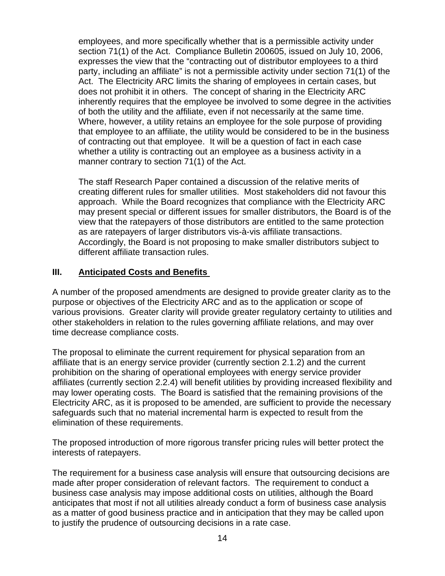employees, and more specifically whether that is a permissible activity under section 71(1) of the Act. Compliance Bulletin 200605, issued on July 10, 2006, expresses the view that the "contracting out of distributor employees to a third party, including an affiliate" is not a permissible activity under section 71(1) of the Act. The Electricity ARC limits the sharing of employees in certain cases, but does not prohibit it in others. The concept of sharing in the Electricity ARC inherently requires that the employee be involved to some degree in the activities of both the utility and the affiliate, even if not necessarily at the same time. Where, however, a utility retains an employee for the sole purpose of providing that employee to an affiliate, the utility would be considered to be in the business of contracting out that employee. It will be a question of fact in each case whether a utility is contracting out an employee as a business activity in a manner contrary to section 71(1) of the Act.

The staff Research Paper contained a discussion of the relative merits of creating different rules for smaller utilities. Most stakeholders did not favour this approach. While the Board recognizes that compliance with the Electricity ARC may present special or different issues for smaller distributors, the Board is of the view that the ratepayers of those distributors are entitled to the same protection as are ratepayers of larger distributors vis-à-vis affiliate transactions. Accordingly, the Board is not proposing to make smaller distributors subject to different affiliate transaction rules.

# **III. Anticipated Costs and Benefits**

A number of the proposed amendments are designed to provide greater clarity as to the purpose or objectives of the Electricity ARC and as to the application or scope of various provisions. Greater clarity will provide greater regulatory certainty to utilities and other stakeholders in relation to the rules governing affiliate relations, and may over time decrease compliance costs.

The proposal to eliminate the current requirement for physical separation from an affiliate that is an energy service provider (currently section 2.1.2) and the current prohibition on the sharing of operational employees with energy service provider affiliates (currently section 2.2.4) will benefit utilities by providing increased flexibility and may lower operating costs. The Board is satisfied that the remaining provisions of the Electricity ARC, as it is proposed to be amended, are sufficient to provide the necessary safeguards such that no material incremental harm is expected to result from the elimination of these requirements.

The proposed introduction of more rigorous transfer pricing rules will better protect the interests of ratepayers.

The requirement for a business case analysis will ensure that outsourcing decisions are made after proper consideration of relevant factors. The requirement to conduct a business case analysis may impose additional costs on utilities, although the Board anticipates that most if not all utilities already conduct a form of business case analysis as a matter of good business practice and in anticipation that they may be called upon to justify the prudence of outsourcing decisions in a rate case.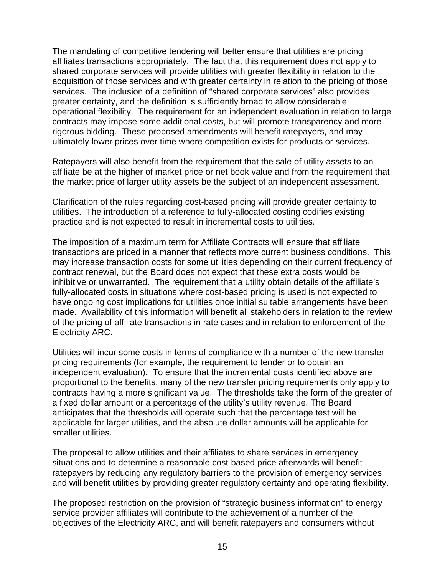The mandating of competitive tendering will better ensure that utilities are pricing affiliates transactions appropriately. The fact that this requirement does not apply to shared corporate services will provide utilities with greater flexibility in relation to the acquisition of those services and with greater certainty in relation to the pricing of those services. The inclusion of a definition of "shared corporate services" also provides greater certainty, and the definition is sufficiently broad to allow considerable operational flexibility. The requirement for an independent evaluation in relation to large contracts may impose some additional costs, but will promote transparency and more rigorous bidding. These proposed amendments will benefit ratepayers, and may ultimately lower prices over time where competition exists for products or services.

Ratepayers will also benefit from the requirement that the sale of utility assets to an affiliate be at the higher of market price or net book value and from the requirement that the market price of larger utility assets be the subject of an independent assessment.

Clarification of the rules regarding cost-based pricing will provide greater certainty to utilities. The introduction of a reference to fully-allocated costing codifies existing practice and is not expected to result in incremental costs to utilities.

The imposition of a maximum term for Affiliate Contracts will ensure that affiliate transactions are priced in a manner that reflects more current business conditions. This may increase transaction costs for some utilities depending on their current frequency of contract renewal, but the Board does not expect that these extra costs would be inhibitive or unwarranted. The requirement that a utility obtain details of the affiliate's fully-allocated costs in situations where cost-based pricing is used is not expected to have ongoing cost implications for utilities once initial suitable arrangements have been made. Availability of this information will benefit all stakeholders in relation to the review of the pricing of affiliate transactions in rate cases and in relation to enforcement of the Electricity ARC.

Utilities will incur some costs in terms of compliance with a number of the new transfer pricing requirements (for example, the requirement to tender or to obtain an independent evaluation). To ensure that the incremental costs identified above are proportional to the benefits, many of the new transfer pricing requirements only apply to contracts having a more significant value. The thresholds take the form of the greater of a fixed dollar amount or a percentage of the utility's utility revenue. The Board anticipates that the thresholds will operate such that the percentage test will be applicable for larger utilities, and the absolute dollar amounts will be applicable for smaller utilities.

The proposal to allow utilities and their affiliates to share services in emergency situations and to determine a reasonable cost-based price afterwards will benefit ratepayers by reducing any regulatory barriers to the provision of emergency services and will benefit utilities by providing greater regulatory certainty and operating flexibility.

The proposed restriction on the provision of "strategic business information" to energy service provider affiliates will contribute to the achievement of a number of the objectives of the Electricity ARC, and will benefit ratepayers and consumers without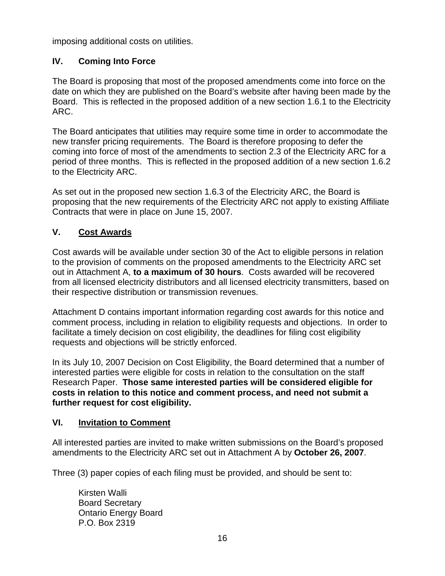imposing additional costs on utilities.

# **IV. Coming Into Force**

The Board is proposing that most of the proposed amendments come into force on the date on which they are published on the Board's website after having been made by the Board. This is reflected in the proposed addition of a new section 1.6.1 to the Electricity ARC.

The Board anticipates that utilities may require some time in order to accommodate the new transfer pricing requirements. The Board is therefore proposing to defer the coming into force of most of the amendments to section 2.3 of the Electricity ARC for a period of three months. This is reflected in the proposed addition of a new section 1.6.2 to the Electricity ARC.

As set out in the proposed new section 1.6.3 of the Electricity ARC, the Board is proposing that the new requirements of the Electricity ARC not apply to existing Affiliate Contracts that were in place on June 15, 2007.

# **V. Cost Awards**

Cost awards will be available under section 30 of the Act to eligible persons in relation to the provision of comments on the proposed amendments to the Electricity ARC set out in Attachment A, **to a maximum of 30 hours**. Costs awarded will be recovered from all licensed electricity distributors and all licensed electricity transmitters, based on their respective distribution or transmission revenues.

Attachment D contains important information regarding cost awards for this notice and comment process, including in relation to eligibility requests and objections. In order to facilitate a timely decision on cost eligibility, the deadlines for filing cost eligibility requests and objections will be strictly enforced.

In its July 10, 2007 Decision on Cost Eligibility, the Board determined that a number of interested parties were eligible for costs in relation to the consultation on the staff Research Paper. **Those same interested parties will be considered eligible for costs in relation to this notice and comment process, and need not submit a further request for cost eligibility.**

# **VI. Invitation to Comment**

All interested parties are invited to make written submissions on the Board's proposed amendments to the Electricity ARC set out in Attachment A by **October 26, 2007**.

Three (3) paper copies of each filing must be provided, and should be sent to:

Kirsten Walli Board Secretary Ontario Energy Board P.O. Box 2319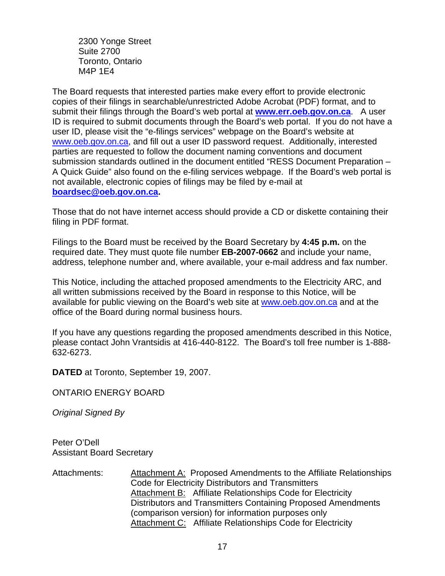2300 Yonge Street Suite 2700 Toronto, Ontario M4P 1E4

The Board requests that interested parties make every effort to provide electronic copies of their filings in searchable/unrestricted Adobe Acrobat (PDF) format, and to submit their filings through the Board's web portal at **[www.err.oeb.gov.on.ca](http://www.err.oeb.gov.on.ca/)**. A user ID is required to submit documents through the Board's web portal. If you do not have a user ID, please visit the "e-filings services" webpage on the Board's website at [www.oeb.gov.on.ca,](http://www.oeb.gov.on.ca/) and fill out a user ID password request. Additionally, interested parties are requested to follow the document naming conventions and document submission standards outlined in the document entitled "RESS Document Preparation – A Quick Guide" also found on the e-filing services webpage. If the Board's web portal is not available, electronic copies of filings may be filed by e-mail at **[boardsec@oeb.gov.on.ca.](mailto:boardsec@oeb.gov.on.ca)**

Those that do not have internet access should provide a CD or diskette containing their filing in PDF format.

Filings to the Board must be received by the Board Secretary by **4:45 p.m.** on the required date. They must quote file number **EB-2007-0662** and include your name, address, telephone number and, where available, your e-mail address and fax number.

This Notice, including the attached proposed amendments to the Electricity ARC, and all written submissions received by the Board in response to this Notice, will be available for public viewing on the Board's web site at [www.oeb.gov.on.ca](http://www.oeb.gov.on.ca/) and at the office of the Board during normal business hours.

If you have any questions regarding the proposed amendments described in this Notice, please contact John Vrantsidis at 416-440-8122. The Board's toll free number is 1-888- 632-6273.

**DATED** at Toronto, September 19, 2007.

ONTARIO ENERGY BOARD

*Original Signed By* 

Peter O'Dell Assistant Board Secretary

Attachments: Attachment A: Proposed Amendments to the Affiliate Relationships Code for Electricity Distributors and Transmitters Attachment B: Affiliate Relationships Code for Electricity Distributors and Transmitters Containing Proposed Amendments (comparison version) for information purposes only Attachment C: Affiliate Relationships Code for Electricity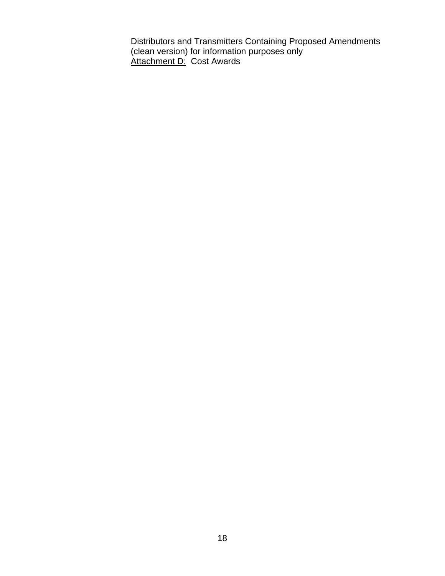Distributors and Transmitters Containing Proposed Amendments (clean version) for information purposes only Attachment D: Cost Awards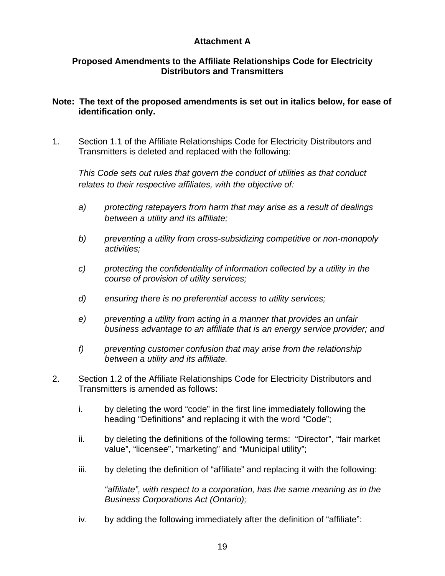### **Attachment A**

### **Proposed Amendments to the Affiliate Relationships Code for Electricity Distributors and Transmitters**

### **Note: The text of the proposed amendments is set out in italics below, for ease of identification only.**

1. Section 1.1 of the Affiliate Relationships Code for Electricity Distributors and Transmitters is deleted and replaced with the following:

*This Code sets out rules that govern the conduct of utilities as that conduct relates to their respective affiliates, with the objective of:* 

- *a) protecting ratepayers from harm that may arise as a result of dealings between a utility and its affiliate;*
- *b) preventing a utility from cross-subsidizing competitive or non-monopoly activities;*
- *c) protecting the confidentiality of information collected by a utility in the course of provision of utility services;*
- *d) ensuring there is no preferential access to utility services;*
- *e) preventing a utility from acting in a manner that provides an unfair business advantage to an affiliate that is an energy service provider; and*
- *f) preventing customer confusion that may arise from the relationship between a utility and its affiliate.*
- 2. Section 1.2 of the Affiliate Relationships Code for Electricity Distributors and Transmitters is amended as follows:
	- i. by deleting the word "code" in the first line immediately following the heading "Definitions" and replacing it with the word "Code";
	- ii. by deleting the definitions of the following terms: "Director", "fair market value", "licensee", "marketing" and "Municipal utility";
	- iii. by deleting the definition of "affiliate" and replacing it with the following:

 *"affiliate", with respect to a corporation, has the same meaning as in the Business Corporations Act (Ontario);* 

iv. by adding the following immediately after the definition of "affiliate":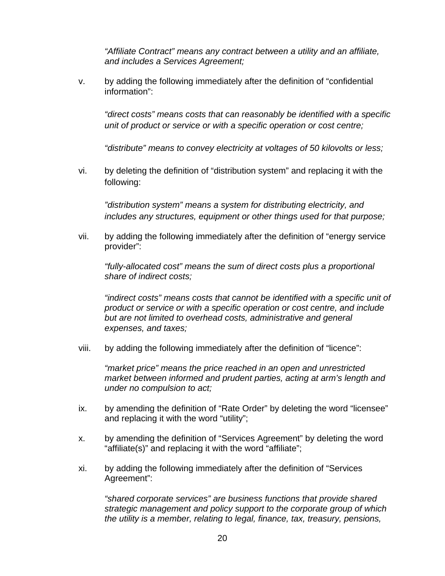*"Affiliate Contract" means any contract between a utility and an affiliate, and includes a Services Agreement;* 

v. by adding the following immediately after the definition of "confidential information":

 *"direct costs" means costs that can reasonably be identified with a specific unit of product or service or with a specific operation or cost centre;* 

*"distribute" means to convey electricity at voltages of 50 kilovolts or less;*

vi. by deleting the definition of "distribution system" and replacing it with the following:

*"distribution system" means a system for distributing electricity, and includes any structures, equipment or other things used for that purpose;* 

vii. by adding the following immediately after the definition of "energy service provider":

*"fully-allocated cost" means the sum of direct costs plus a proportional share of indirect costs;* 

*"indirect costs" means costs that cannot be identified with a specific unit of product or service or with a specific operation or cost centre, and include but are not limited to overhead costs, administrative and general expenses, and taxes;*

viii. by adding the following immediately after the definition of "licence":

*"market price" means the price reached in an open and unrestricted market between informed and prudent parties, acting at arm's length and under no compulsion to act;* 

- ix. by amending the definition of "Rate Order" by deleting the word "licensee" and replacing it with the word "utility";
- x. by amending the definition of "Services Agreement" by deleting the word "affiliate(s)" and replacing it with the word "affiliate";
- xi. by adding the following immediately after the definition of "Services Agreement":

*"shared corporate services" are business functions that provide shared strategic management and policy support to the corporate group of which the utility is a member, relating to legal, finance, tax, treasury, pensions,*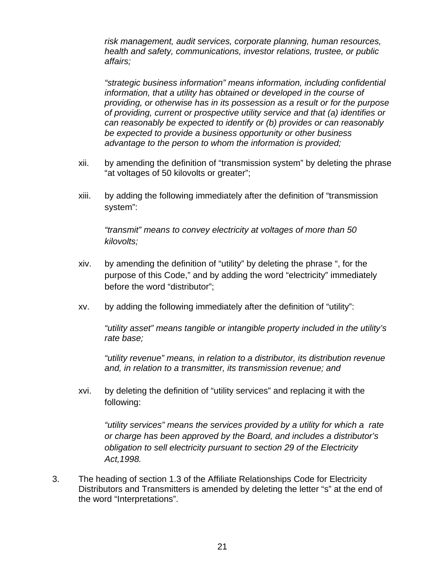*risk management, audit services, corporate planning, human resources, health and safety, communications, investor relations, trustee, or public affairs;* 

*"strategic business information" means information, including confidential information, that a utility has obtained or developed in the course of providing, or otherwise has in its possession as a result or for the purpose of providing, current or prospective utility service and that (a) identifies or can reasonably be expected to identify or (b) provides or can reasonably be expected to provide a business opportunity or other business advantage to the person to whom the information is provided;* 

- xii. by amending the definition of "transmission system" by deleting the phrase "at voltages of 50 kilovolts or greater";
- xiii. by adding the following immediately after the definition of "transmission system":

*"transmit" means to convey electricity at voltages of more than 50 kilovolts;* 

- xiv. by amending the definition of "utility" by deleting the phrase ", for the purpose of this Code," and by adding the word "electricity" immediately before the word "distributor";
- xv. by adding the following immediately after the definition of "utility":

*"utility asset" means tangible or intangible property included in the utility's rate base;* 

*"utility revenue" means, in relation to a distributor, its distribution revenue and, in relation to a transmitter, its transmission revenue; and*

xvi. by deleting the definition of "utility services" and replacing it with the following:

*"utility services" means the services provided by a utility for which a rate or charge has been approved by the Board, and includes a distributor's obligation to sell electricity pursuant to section 29 of the Electricity Act,1998.* 

3. The heading of section 1.3 of the Affiliate Relationships Code for Electricity Distributors and Transmitters is amended by deleting the letter "s" at the end of the word "Interpretations".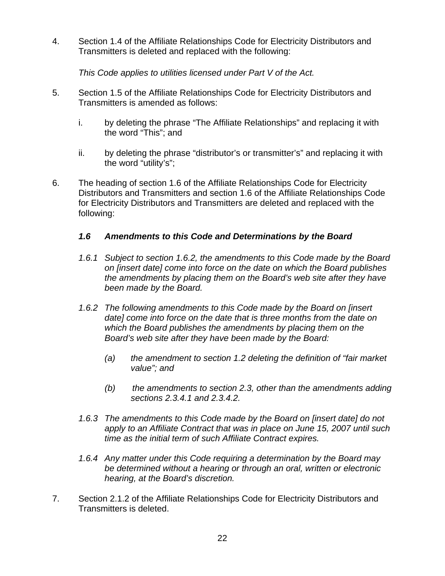4. Section 1.4 of the Affiliate Relationships Code for Electricity Distributors and Transmitters is deleted and replaced with the following:

*This Code applies to utilities licensed under Part V of the Act.* 

- 5. Section 1.5 of the Affiliate Relationships Code for Electricity Distributors and Transmitters is amended as follows:
	- i. by deleting the phrase "The Affiliate Relationships" and replacing it with the word "This"; and
	- ii. by deleting the phrase "distributor's or transmitter's" and replacing it with the word "utility's";
- 6. The heading of section 1.6 of the Affiliate Relationships Code for Electricity Distributors and Transmitters and section 1.6 of the Affiliate Relationships Code for Electricity Distributors and Transmitters are deleted and replaced with the following:

# *1.6 Amendments to this Code and Determinations by the Board*

- *1.6.1 Subject to section 1.6.2, the amendments to this Code made by the Board on [insert date] come into force on the date on which the Board publishes the amendments by placing them on the Board's web site after they have been made by the Board.*
- *1.6.2 The following amendments to this Code made by the Board on [insert date] come into force on the date that is three months from the date on which the Board publishes the amendments by placing them on the Board's web site after they have been made by the Board:* 
	- *(a) the amendment to section 1.2 deleting the definition of "fair market value"; and*
	- *(b) the amendments to section 2.3, other than the amendments adding sections 2.3.4.1 and 2.3.4.2.*
- *1.6.3 The amendments to this Code made by the Board on [insert date] do not apply to an Affiliate Contract that was in place on June 15, 2007 until such time as the initial term of such Affiliate Contract expires.*
- *1.6.4 Any matter under this Code requiring a determination by the Board may be determined without a hearing or through an oral, written or electronic hearing, at the Board's discretion.*
- 7. Section 2.1.2 of the Affiliate Relationships Code for Electricity Distributors and Transmitters is deleted.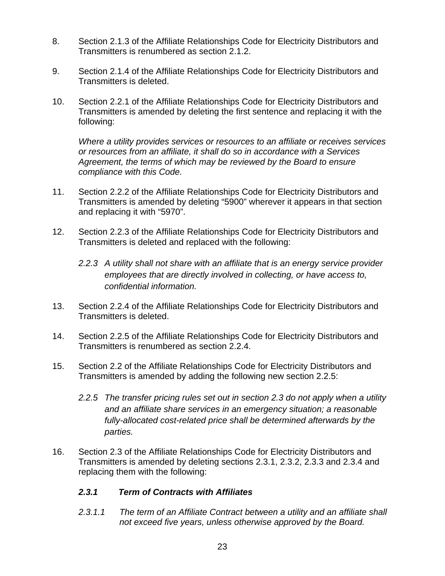- 8. Section 2.1.3 of the Affiliate Relationships Code for Electricity Distributors and Transmitters is renumbered as section 2.1.2.
- 9. Section 2.1.4 of the Affiliate Relationships Code for Electricity Distributors and Transmitters is deleted.
- 10. Section 2.2.1 of the Affiliate Relationships Code for Electricity Distributors and Transmitters is amended by deleting the first sentence and replacing it with the following:

*Where a utility provides services or resources to an affiliate or receives services or resources from an affiliate, it shall do so in accordance with a Services Agreement, the terms of which may be reviewed by the Board to ensure compliance with this Code.* 

- 11. Section 2.2.2 of the Affiliate Relationships Code for Electricity Distributors and Transmitters is amended by deleting "5900" wherever it appears in that section and replacing it with "5970".
- 12. Section 2.2.3 of the Affiliate Relationships Code for Electricity Distributors and Transmitters is deleted and replaced with the following:
	- *2.2.3 A utility shall not share with an affiliate that is an energy service provider employees that are directly involved in collecting, or have access to, confidential information.*
- 13. Section 2.2.4 of the Affiliate Relationships Code for Electricity Distributors and Transmitters is deleted.
- 14. Section 2.2.5 of the Affiliate Relationships Code for Electricity Distributors and Transmitters is renumbered as section 2.2.4.
- 15. Section 2.2 of the Affiliate Relationships Code for Electricity Distributors and Transmitters is amended by adding the following new section 2.2.5:
	- *2.2.5 The transfer pricing rules set out in section 2.3 do not apply when a utility and an affiliate share services in an emergency situation; a reasonable fully-allocated cost-related price shall be determined afterwards by the parties.*
- 16. Section 2.3 of the Affiliate Relationships Code for Electricity Distributors and Transmitters is amended by deleting sections 2.3.1, 2.3.2, 2.3.3 and 2.3.4 and replacing them with the following:

# *2.3.1 Term of Contracts with Affiliates*

 *2.3.1.1 The term of an Affiliate Contract between a utility and an affiliate shall not exceed five years, unless otherwise approved by the Board.*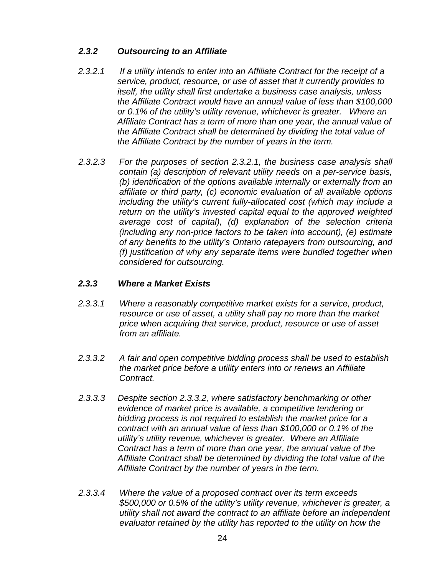### *2.3.2 Outsourcing to an Affiliate*

- *2.3.2.1 If a utility intends to enter into an Affiliate Contract for the receipt of a service, product, resource, or use of asset that it currently provides to itself, the utility shall first undertake a business case analysis, unless the Affiliate Contract would have an annual value of less than \$100,000 or 0.1% of the utility's utility revenue, whichever is greater. Where an Affiliate Contract has a term of more than one year, the annual value of the Affiliate Contract shall be determined by dividing the total value of the Affiliate Contract by the number of years in the term.*
- *2.3.2.3 For the purposes of section 2.3.2.1, the business case analysis shall contain (a) description of relevant utility needs on a per-service basis, (b) identification of the options available internally or externally from an affiliate or third party, (c) economic evaluation of all available options including the utility's current fully-allocated cost (which may include a return on the utility's invested capital equal to the approved weighted average cost of capital), (d) explanation of the selection criteria (including any non-price factors to be taken into account), (e) estimate of any benefits to the utility's Ontario ratepayers from outsourcing, and (f) justification of why any separate items were bundled together when considered for outsourcing.*

### *2.3.3 Where a Market Exists*

- *2.3.3.1 Where a reasonably competitive market exists for a service, product, resource or use of asset, a utility shall pay no more than the market price when acquiring that service, product, resource or use of asset from an affiliate.*
- *2.3.3.2 A fair and open competitive bidding process shall be used to establish the market price before a utility enters into or renews an Affiliate Contract.*
- *2.3.3.3 Despite section 2.3.3.2, where satisfactory benchmarking or other evidence of market price is available, a competitive tendering or bidding process is not required to establish the market price for a contract with an annual value of less than \$100,000 or 0.1% of the utility's utility revenue, whichever is greater. Where an Affiliate Contract has a term of more than one year, the annual value of the Affiliate Contract shall be determined by dividing the total value of the Affiliate Contract by the number of years in the term.*
- *2.3.3.4 Where the value of a proposed contract over its term exceeds \$500,000 or 0.5% of the utility's utility revenue, whichever is greater, a utility shall not award the contract to an affiliate before an independent evaluator retained by the utility has reported to the utility on how the*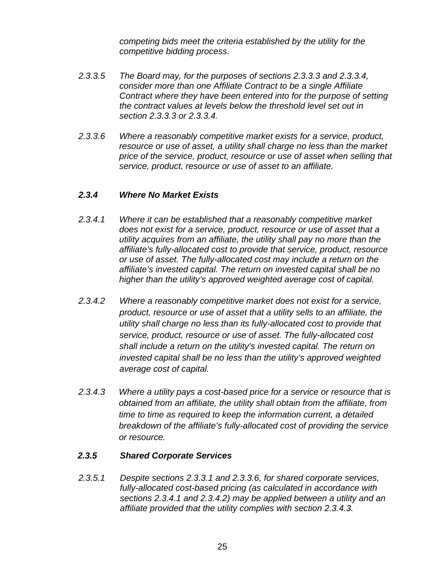*competing bids meet the criteria established by the utility for the competitive bidding process.* 

- *2.3.3.5 The Board may, for the purposes of sections 2.3.3.3 and 2.3.3.4, consider more than one Affiliate Contract to be a single Affiliate Contract where they have been entered into for the purpose of setting the contract values at levels below the threshold level set out in section 2.3.3.3 or 2.3.3.4.*
- *2.3.3.6 Where a reasonably competitive market exists for a service, product, resource or use of asset, a utility shall charge no less than the market price of the service, product, resource or use of asset when selling that service, product, resource or use of asset to an affiliate.*

# *2.3.4 Where No Market Exists*

- *2.3.4.1 Where it can be established that a reasonably competitive market does not exist for a service, product, resource or use of asset that a utility acquires from an affiliate, the utility shall pay no more than the affiliate's fully-allocated cost to provide that service, product, resource or use of asset. The fully-allocated cost may include a return on the affiliate's invested capital. The return on invested capital shall be no higher than the utility's approved weighted average cost of capital.*
- *2.3.4.2 Where a reasonably competitive market does not exist for a service, product, resource or use of asset that a utility sells to an affiliate, the utility shall charge no less than its fully-allocated cost to provide that service, product, resource or use of asset. The fully-allocated cost shall include a return on the utility's invested capital. The return on invested capital shall be no less than the utility's approved weighted average cost of capital.*
- *2.3.4.3 Where a utility pays a cost-based price for a service or resource that is obtained from an affiliate, the utility shall obtain from the affiliate, from time to time as required to keep the information current, a detailed breakdown of the affiliate's fully-allocated cost of providing the service or resource.*

### *2.3.5 Shared Corporate Services*

*2.3.5.1 Despite sections 2.3.3.1 and 2.3.3.6, for shared corporate services, fully-allocated cost-based pricing (as calculated in accordance with sections 2.3.4.1 and 2.3.4.2) may be applied between a utility and an affiliate provided that the utility complies with section 2.3.4.3.*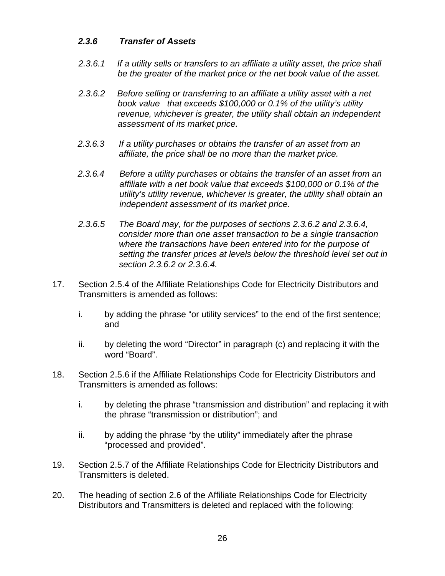### *2.3.6 Transfer of Assets*

- *2.3.6.1 If a utility sells or transfers to an affiliate a utility asset, the price shall be the greater of the market price or the net book value of the asset.*
- *2.3.6.2 Before selling or transferring to an affiliate a utility asset with a net book value that exceeds \$100,000 or 0.1% of the utility's utility revenue, whichever is greater, the utility shall obtain an independent assessment of its market price.*
- *2.3.6.3 If a utility purchases or obtains the transfer of an asset from an affiliate, the price shall be no more than the market price.*
- *2.3.6.4 Before a utility purchases or obtains the transfer of an asset from an affiliate with a net book value that exceeds \$100,000 or 0.1% of the utility's utility revenue, whichever is greater, the utility shall obtain an independent assessment of its market price.*
- *2.3.6.5 The Board may, for the purposes of sections 2.3.6.2 and 2.3.6.4, consider more than one asset transaction to be a single transaction where the transactions have been entered into for the purpose of setting the transfer prices at levels below the threshold level set out in section 2.3.6.2 or 2.3.6.4.*
- 17. Section 2.5.4 of the Affiliate Relationships Code for Electricity Distributors and Transmitters is amended as follows:
	- i. by adding the phrase "or utility services" to the end of the first sentence; and
	- ii. by deleting the word "Director" in paragraph (c) and replacing it with the word "Board".
- 18. Section 2.5.6 if the Affiliate Relationships Code for Electricity Distributors and Transmitters is amended as follows:
	- i. by deleting the phrase "transmission and distribution" and replacing it with the phrase "transmission or distribution"; and
	- ii. by adding the phrase "by the utility" immediately after the phrase "processed and provided".
- 19. Section 2.5.7 of the Affiliate Relationships Code for Electricity Distributors and Transmitters is deleted.
- 20. The heading of section 2.6 of the Affiliate Relationships Code for Electricity Distributors and Transmitters is deleted and replaced with the following: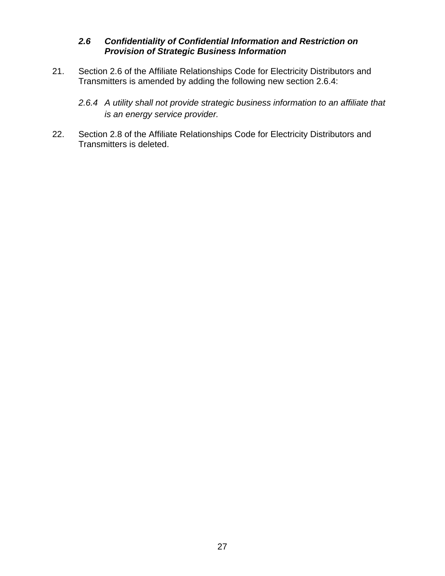### *2.6 Confidentiality of Confidential Information and Restriction on Provision of Strategic Business Information*

21. Section 2.6 of the Affiliate Relationships Code for Electricity Distributors and Transmitters is amended by adding the following new section 2.6.4:

*2.6.4 A utility shall not provide strategic business information to an affiliate that is an energy service provider.* 

22. Section 2.8 of the Affiliate Relationships Code for Electricity Distributors and Transmitters is deleted.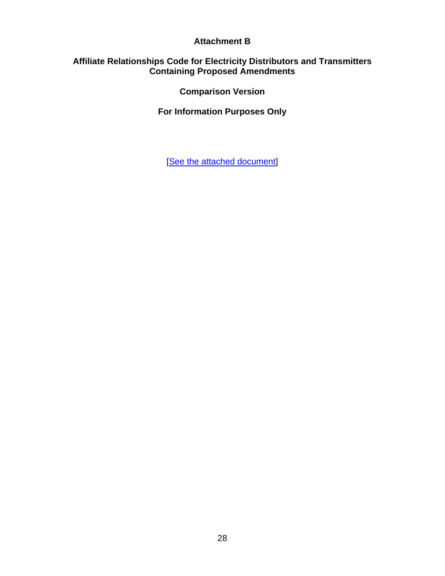### **Attachment B**

### **Affiliate Relationships Code for Electricity Distributors and Transmitters Containing Proposed Amendments**

**Comparison Version** 

**For Information Purposes Only**

[[See the attached document](http://www.oeb.gov.on.ca/documents/cases/EB-2007-0662/ARC_amended_attachment_B_20070919.pdf)]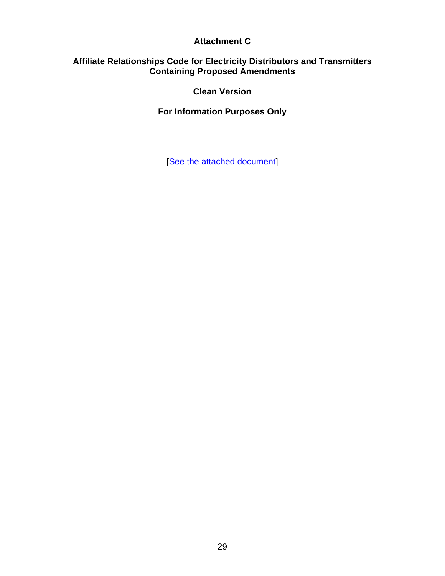### **Attachment C**

### **Affiliate Relationships Code for Electricity Distributors and Transmitters Containing Proposed Amendments**

**Clean Version** 

**For Information Purposes Only**

[[See the attached document](http://www.oeb.gov.on.ca/documents/cases/EB-2007-0662/ARC_amended_attachment_C_20070919.pdf)]